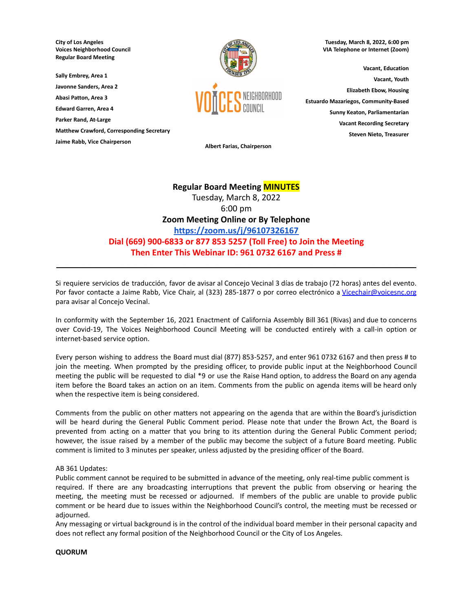**City of Los Angeles Voices Neighborhood Council Regular Board Meeting**

**Sally Embrey, Area 1**

**Javonne Sanders, Area 2**

**Abasi Patton, Area 3 Edward Garren, Area 4**

**Parker Rand, At-Large**

**Matthew Crawford, Corresponding Secretary**

**Jaime Rabb, Vice Chairperson**



**Tuesday, March 8, 2022, 6:00 pm VIA Telephone or Internet (Zoom)**

**Vacant, Education Vacant, Youth Elizabeth Ebow, Housing Estuardo Mazariegos, Community-Based Sunny Keaton, Parliamentarian Vacant Recording Secretary Steven Nieto, Treasurer**

**Albert Farias, Chairperson**

# **Regular Board Meeting MINUTES**

Tuesday, March 8, 2022 6:00 pm **Zoom Meeting Online or By Telephone <https://zoom.us/j/96107326167> Dial (669) 900-6833 or 877 853 5257 (Toll Free) to Join the Meeting Then Enter This Webinar ID: 961 0732 6167 and Press #**

Si requiere servicios de traducción, favor de avisar al Concejo Vecinal 3 días de trabajo (72 horas) antes del evento. Por favor contacte a Jaime Rabb, Vice Chair, al (323) 285-1877 o por correo electrónico a [Vicechair@voicesnc.org](mailto:VNCCorrSec18@gmail.com) para avisar al Concejo Vecinal.

**\_\_\_\_\_\_\_\_\_\_\_\_\_\_\_\_\_\_\_\_\_\_\_\_\_\_\_\_\_\_\_\_\_\_\_\_\_\_\_\_\_\_\_\_\_\_\_\_\_\_\_\_\_\_\_\_\_\_\_\_\_\_\_\_\_\_\_\_\_\_\_\_\_\_\_\_\_\_**

In conformity with the September 16, 2021 Enactment of California Assembly Bill 361 (Rivas) and due to concerns over Covid-19, The Voices Neighborhood Council Meeting will be conducted entirely with a call-in option or internet-based service option.

Every person wishing to address the Board must dial (877) 853-5257, and enter 961 0732 6167 and then press # to join the meeting. When prompted by the presiding officer, to provide public input at the Neighborhood Council meeting the public will be requested to dial \*9 or use the Raise Hand option, to address the Board on any agenda item before the Board takes an action on an item. Comments from the public on agenda items will be heard only when the respective item is being considered.

Comments from the public on other matters not appearing on the agenda that are within the Board's jurisdiction will be heard during the General Public Comment period. Please note that under the Brown Act, the Board is prevented from acting on a matter that you bring to its attention during the General Public Comment period; however, the issue raised by a member of the public may become the subject of a future Board meeting. Public comment is limited to 3 minutes per speaker, unless adjusted by the presiding officer of the Board.

# AB 361 Updates:

Public comment cannot be required to be submitted in advance of the meeting, only real-time public comment is required. If there are any broadcasting interruptions that prevent the public from observing or hearing the meeting, the meeting must be recessed or adjourned. If members of the public are unable to provide public comment or be heard due to issues within the Neighborhood Council's control, the meeting must be recessed or adjourned.

Any messaging or virtual background is in the control of the individual board member in their personal capacity and does not reflect any formal position of the Neighborhood Council or the City of Los Angeles.

# **QUORUM**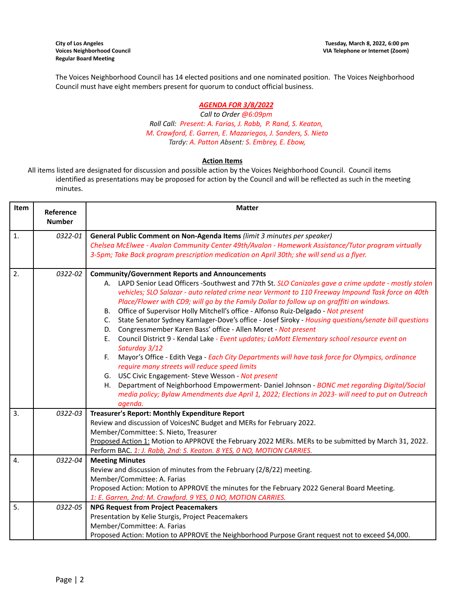The Voices Neighborhood Council has 14 elected positions and one nominated position. The Voices Neighborhood Council must have eight members present for quorum to conduct official business.

# *AGENDA FOR 3/8/2022*

*Call to Order @6:09pm Roll Call: Present: A. Farias, J. Rabb, P. Rand, S. Keaton, M. Crawford, E. Garren, E. Mazariegos, J. Sanders, S. Nieto Tardy: A. Patton Absent: S. Embrey, E. Ebow,*

# **Action Items**

All items listed are designated for discussion and possible action by the Voices Neighborhood Council. Council items identified as presentations may be proposed for action by the Council and will be reflected as such in the meeting minutes.

| Item             | Reference<br><b>Number</b> | <b>Matter</b>                                                                                                                                                                                                                                                                                                                                                                                                                                                                                                                                                                                                                                                                                                                                                                                                                                                                                                                                                                                                                                                                                                                                                                                                 |  |  |  |
|------------------|----------------------------|---------------------------------------------------------------------------------------------------------------------------------------------------------------------------------------------------------------------------------------------------------------------------------------------------------------------------------------------------------------------------------------------------------------------------------------------------------------------------------------------------------------------------------------------------------------------------------------------------------------------------------------------------------------------------------------------------------------------------------------------------------------------------------------------------------------------------------------------------------------------------------------------------------------------------------------------------------------------------------------------------------------------------------------------------------------------------------------------------------------------------------------------------------------------------------------------------------------|--|--|--|
| $\mathbf{1}$ .   | 0322-01                    | General Public Comment on Non-Agenda Items (limit 3 minutes per speaker)<br>Chelsea McElwee - Avalon Community Center 49th/Avalon - Homework Assistance/Tutor program virtually<br>3-5pm; Take Back program prescription medication on April 30th; she will send us a flyer.                                                                                                                                                                                                                                                                                                                                                                                                                                                                                                                                                                                                                                                                                                                                                                                                                                                                                                                                  |  |  |  |
| $\overline{2}$ . | 0322-02                    | <b>Community/Government Reports and Announcements</b><br>A. LAPD Senior Lead Officers -Southwest and 77th St. SLO Canizales gave a crime update - mostly stolen<br>vehicles; SLO Salazar - auto related crime near Vermont to 110 Freeway Impound Task force on 40th<br>Place/Flower with CD9; will go by the Family Dollar to follow up on graffiti on windows.<br>Office of Supervisor Holly Mitchell's office - Alfonso Ruiz-Delgado - Not present<br>В.<br>State Senator Sydney Kamlager-Dove's office - Josef Siroky - Housing questions/senate bill questions<br>C.<br>Congressmember Karen Bass' office - Allen Moret - Not present<br>D.<br>Council District 9 - Kendal Lake - Event updates; LaMott Elementary school resource event on<br>Ε.<br>Saturday 3/12<br>Mayor's Office - Edith Vega - Each City Departments will have task force for Olympics, ordinance<br>F.<br>require many streets will reduce speed limits<br>G. USC Civic Engagement- Steve Wesson - Not present<br>Department of Neighborhood Empowerment- Daniel Johnson - BONC met regarding Digital/Social<br>Н.<br>media policy; Bylaw Amendments due April 1, 2022; Elections in 2023- will need to put on Outreach<br>agenda. |  |  |  |
| 3.<br>4.         | 0322-03<br>0322-04         | Treasurer's Report: Monthly Expenditure Report<br>Review and discussion of VoicesNC Budget and MERs for February 2022.<br>Member/Committee: S. Nieto, Treasurer<br>Proposed Action 1: Motion to APPROVE the February 2022 MERs. MERs to be submitted by March 31, 2022.<br>Perform BAC. 1: J. Rabb, 2nd: S. Keaton. 8 YES, 0 NO, MOTION CARRIES.<br><b>Meeting Minutes</b><br>Review and discussion of minutes from the February (2/8/22) meeting.                                                                                                                                                                                                                                                                                                                                                                                                                                                                                                                                                                                                                                                                                                                                                            |  |  |  |
| 5.               | 0322-05                    | Member/Committee: A. Farias<br>Proposed Action: Motion to APPROVE the minutes for the February 2022 General Board Meeting.<br>1: E. Garren, 2nd: M. Crawford. 9 YES, 0 NO, MOTION CARRIES.<br><b>NPG Request from Project Peacemakers</b><br>Presentation by Kelie Sturgis, Project Peacemakers<br>Member/Committee: A. Farias<br>Proposed Action: Motion to APPROVE the Neighborhood Purpose Grant request not to exceed \$4,000.                                                                                                                                                                                                                                                                                                                                                                                                                                                                                                                                                                                                                                                                                                                                                                            |  |  |  |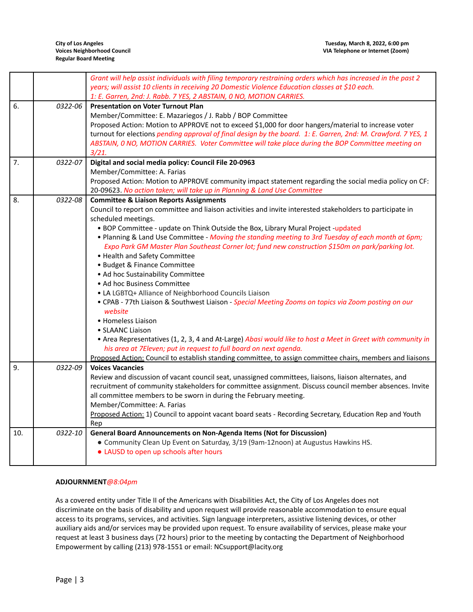$\overline{\phantom{a}}$ 

|     |         | Grant will help assist individuals with filing temporary restraining orders which has increased in the past 2<br>years; will assist 10 clients in receiving 20 Domestic Violence Education classes at \$10 each.<br>1: E. Garren, 2nd: J. Rabb. 7 YES, 2 ABSTAIN, 0 NO, MOTION CARRIES. |  |  |  |
|-----|---------|-----------------------------------------------------------------------------------------------------------------------------------------------------------------------------------------------------------------------------------------------------------------------------------------|--|--|--|
| 6.  | 0322-06 | <b>Presentation on Voter Turnout Plan</b>                                                                                                                                                                                                                                               |  |  |  |
|     |         | Member/Committee: E. Mazariegos / J. Rabb / BOP Committee                                                                                                                                                                                                                               |  |  |  |
|     |         | Proposed Action: Motion to APPROVE not to exceed \$1,000 for door hangers/material to increase voter                                                                                                                                                                                    |  |  |  |
|     |         | turnout for elections pending approval of final design by the board. 1: E. Garren, 2nd: M. Crawford. 7 YES, 1                                                                                                                                                                           |  |  |  |
|     |         | ABSTAIN, 0 NO, MOTION CARRIES. Voter Committee will take place during the BOP Committee meeting on                                                                                                                                                                                      |  |  |  |
|     |         | 3/21.                                                                                                                                                                                                                                                                                   |  |  |  |
| 7.  | 0322-07 | Digital and social media policy: Council File 20-0963                                                                                                                                                                                                                                   |  |  |  |
|     |         | Member/Committee: A. Farias                                                                                                                                                                                                                                                             |  |  |  |
|     |         | Proposed Action: Motion to APPROVE community impact statement regarding the social media policy on CF:                                                                                                                                                                                  |  |  |  |
|     |         | 20-09623. No action taken; will take up in Planning & Land Use Committee                                                                                                                                                                                                                |  |  |  |
| 8.  | 0322-08 | <b>Committee &amp; Liaison Reports Assignments</b>                                                                                                                                                                                                                                      |  |  |  |
|     |         | Council to report on committee and liaison activities and invite interested stakeholders to participate in                                                                                                                                                                              |  |  |  |
|     |         | scheduled meetings.                                                                                                                                                                                                                                                                     |  |  |  |
|     |         | . BOP Committee - update on Think Outside the Box, Library Mural Project -updated                                                                                                                                                                                                       |  |  |  |
|     |         | . Planning & Land Use Committee - Moving the standing meeting to 3rd Tuesday of each month at 6pm;                                                                                                                                                                                      |  |  |  |
|     |         | Expo Park GM Master Plan Southeast Corner lot; fund new construction \$150m on park/parking lot.                                                                                                                                                                                        |  |  |  |
|     |         | • Health and Safety Committee                                                                                                                                                                                                                                                           |  |  |  |
|     |         | • Budget & Finance Committee                                                                                                                                                                                                                                                            |  |  |  |
|     |         | • Ad hoc Sustainability Committee                                                                                                                                                                                                                                                       |  |  |  |
|     |         | • Ad hoc Business Committee                                                                                                                                                                                                                                                             |  |  |  |
|     |         |                                                                                                                                                                                                                                                                                         |  |  |  |
|     |         | • LA LGBTQ+ Alliance of Neighborhood Councils Liaison                                                                                                                                                                                                                                   |  |  |  |
|     |         | . CPAB - 77th Liaison & Southwest Liaison - Special Meeting Zooms on topics via Zoom posting on our<br>website                                                                                                                                                                          |  |  |  |
|     |         | • Homeless Liaison                                                                                                                                                                                                                                                                      |  |  |  |
|     |         | • SLAANC Liaison                                                                                                                                                                                                                                                                        |  |  |  |
|     |         | • Area Representatives (1, 2, 3, 4 and At-Large) Abasi would like to host a Meet in Greet with community in                                                                                                                                                                             |  |  |  |
|     |         | his area at 7Eleven; put in request to full board on next agenda.                                                                                                                                                                                                                       |  |  |  |
|     |         | Proposed Action: Council to establish standing committee, to assign committee chairs, members and liaisons                                                                                                                                                                              |  |  |  |
| 9.  | 0322-09 | <b>Voices Vacancies</b>                                                                                                                                                                                                                                                                 |  |  |  |
|     |         | Review and discussion of vacant council seat, unassigned committees, liaisons, liaison alternates, and                                                                                                                                                                                  |  |  |  |
|     |         | recruitment of community stakeholders for committee assignment. Discuss council member absences. Invite                                                                                                                                                                                 |  |  |  |
|     |         | all committee members to be sworn in during the February meeting.                                                                                                                                                                                                                       |  |  |  |
|     |         | Member/Committee: A. Farias                                                                                                                                                                                                                                                             |  |  |  |
|     |         | Proposed Action: 1) Council to appoint vacant board seats - Recording Secretary, Education Rep and Youth                                                                                                                                                                                |  |  |  |
|     |         | Rep                                                                                                                                                                                                                                                                                     |  |  |  |
| 10. | 0322-10 | General Board Announcements on Non-Agenda Items (Not for Discussion)                                                                                                                                                                                                                    |  |  |  |
|     |         | • Community Clean Up Event on Saturday, 3/19 (9am-12noon) at Augustus Hawkins HS.                                                                                                                                                                                                       |  |  |  |
|     |         | • LAUSD to open up schools after hours                                                                                                                                                                                                                                                  |  |  |  |
|     |         |                                                                                                                                                                                                                                                                                         |  |  |  |

# **ADJOURNMENT***@8:04pm*

As a covered entity under Title II of the Americans with Disabilities Act, the City of Los Angeles does not discriminate on the basis of disability and upon request will provide reasonable accommodation to ensure equal access to its programs, services, and activities. Sign language interpreters, assistive listening devices, or other auxiliary aids and/or services may be provided upon request. To ensure availability of services, please make your request at least 3 business days (72 hours) prior to the meeting by contacting the Department of Neighborhood Empowerment by calling (213) 978-1551 or email: NCsupport@lacity.org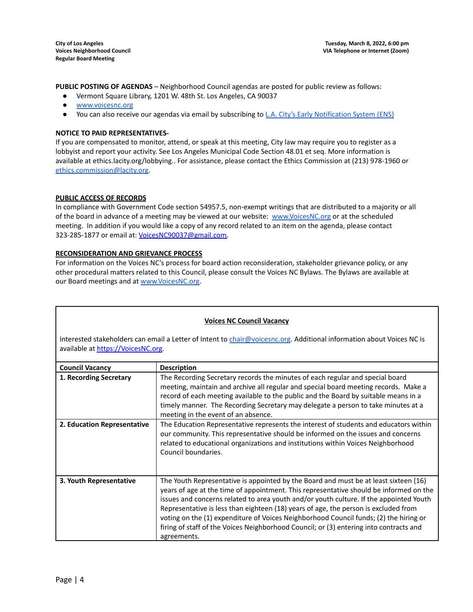**PUBLIC POSTING OF AGENDAS** – Neighborhood Council agendas are posted for public review as follows:

- Vermont Square Library, 1201 W. 48th St. Los Angeles, CA 90037
- [www.voicesnc.org](http://www.voicesnc.org)
- You can also receive our agendas via email by subscribing to L.A. City's Early [Notification](https://www.lacity.org/government/subscribe-agendasnotifications/neighborhood-councils) System (ENS)

#### **NOTICE TO PAID REPRESENTATIVES-**

If you are compensated to monitor, attend, or speak at this meeting, City law may require you to register as a lobbyist and report your activity. See Los Angeles Municipal Code Section 48.01 et seq. More information is available at ethics.lacity.org/lobbying.. For assistance, please contact the Ethics Commission at (213) 978-1960 or [ethics.commission@lacity.org](mailto:ethics.commission@lacity.org).

#### **PUBLIC ACCESS OF RECORDS**

In compliance with Government Code section 54957.5, non-exempt writings that are distributed to a majority or all of the board in advance of a meeting may be viewed at our website: [www.VoicesNC.org](http://www.voicesnc.org) or at the scheduled meeting. In addition if you would like a copy of any record related to an item on the agenda, please contact 323-285-1877 or email at: [VoicesNC90037@gmail.com.](mailto:VoicesNC90037@gmail.com)

#### **RECONSIDERATION AND GRIEVANCE PROCESS**

For information on the Voices NC's process for board action reconsideration, stakeholder grievance policy, or any other procedural matters related to this Council, please consult the Voices NC Bylaws. The Bylaws are available at our Board meetings and at [www.VoicesNC.org](http://www.voicesnc.org).

# **Voices NC Council Vacancy**

Interested stakeholders can email a Letter of Intent to *[chair@voicesnc.org](mailto:chair@voicesnc.org)*. Additional information about Voices NC is available at [https://VoicesNC.org](https://protect-us.mimecast.com/s/E5C9CqxMrGcYVDosZ0ERi).

| <b>Council Vacancy</b>      | <b>Description</b>                                                                                                                                                                                                                                                                                                                                                                                                                                                                                                                                                |  |
|-----------------------------|-------------------------------------------------------------------------------------------------------------------------------------------------------------------------------------------------------------------------------------------------------------------------------------------------------------------------------------------------------------------------------------------------------------------------------------------------------------------------------------------------------------------------------------------------------------------|--|
| 1. Recording Secretary      | The Recording Secretary records the minutes of each regular and special board<br>meeting, maintain and archive all regular and special board meeting records. Make a<br>record of each meeting available to the public and the Board by suitable means in a<br>timely manner. The Recording Secretary may delegate a person to take minutes at a<br>meeting in the event of an absence.                                                                                                                                                                           |  |
| 2. Education Representative | The Education Representative represents the interest of students and educators within<br>our community. This representative should be informed on the issues and concerns<br>related to educational organizations and institutions within Voices Neighborhood<br>Council boundaries.                                                                                                                                                                                                                                                                              |  |
| 3. Youth Representative     | The Youth Representative is appointed by the Board and must be at least sixteen (16)<br>years of age at the time of appointment. This representative should be informed on the<br>issues and concerns related to area youth and/or youth culture. If the appointed Youth<br>Representative is less than eighteen (18) years of age, the person is excluded from<br>voting on the (1) expenditure of Voices Neighborhood Council funds; (2) the hiring or<br>firing of staff of the Voices Neighborhood Council; or (3) entering into contracts and<br>agreements. |  |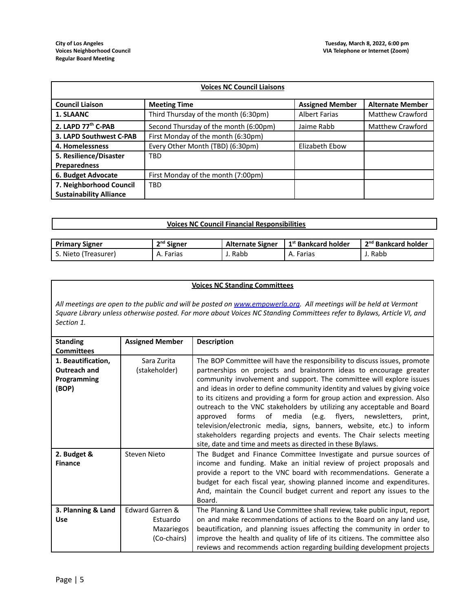| <b>Voices NC Council Liaisons</b> |                                       |                        |                         |
|-----------------------------------|---------------------------------------|------------------------|-------------------------|
| <b>Council Liaison</b>            | <b>Meeting Time</b>                   | <b>Assigned Member</b> | <b>Alternate Member</b> |
| 1. SLAANC                         | Third Thursday of the month (6:30pm)  | <b>Albert Farias</b>   | <b>Matthew Crawford</b> |
| 2. LAPD 77th C-PAB                | Second Thursday of the month (6:00pm) | Jaime Rabb             | <b>Matthew Crawford</b> |
| 3. LAPD Southwest C-PAB           | First Monday of the month (6:30pm)    |                        |                         |
| 4. Homelessness                   | Every Other Month (TBD) (6:30pm)      | Elizabeth Ebow         |                         |
| 5. Resilience/Disaster            | <b>TBD</b>                            |                        |                         |
| <b>Preparedness</b>               |                                       |                        |                         |
| 6. Budget Advocate                | First Monday of the month (7:00pm)    |                        |                         |
| 7. Neighborhood Council           | <b>TBD</b>                            |                        |                         |
| <b>Sustainability Alliance</b>    |                                       |                        |                         |

| .                                                 |                                 |
|---------------------------------------------------|---------------------------------|
| Voices NC<br><u>ິດເເກ</u><br>ncil<br><br>Financia | sponsibilities والمحموم المستقط |
|                                                   |                                 |
|                                                   |                                 |

| <b>Primary Signer</b> | $2nd$ Signer | <b>Alternate Signer</b> | 1 1 <sup>st</sup> Bankcard holder | 2 <sup>nd</sup> Bankcard holder |
|-----------------------|--------------|-------------------------|-----------------------------------|---------------------------------|
| د .Nieto (Treasurer)  | Farias       | Rabb                    | A. Farias                         | Rabb                            |

# **Voices NC Standing Committees**

All meetings are open to the public and will be posted on [www.empowerla.org](http://www.empowerla.org). All meetings will be held at Vermont Square Library unless otherwise posted. For more about Voices NC Standing Committees refer to Bylaws, Article VI, and *Section 1.*

| <b>Standing</b>    | <b>Assigned Member</b>     | <b>Description</b>                                                         |
|--------------------|----------------------------|----------------------------------------------------------------------------|
| <b>Committees</b>  |                            |                                                                            |
| 1. Beautification, | Sara Zurita                | The BOP Committee will have the responsibility to discuss issues, promote  |
| Outreach and       | (stakeholder)              | partnerships on projects and brainstorm ideas to encourage greater         |
| Programming        |                            | community involvement and support. The committee will explore issues       |
| (BOP)              |                            | and ideas in order to define community identity and values by giving voice |
|                    |                            | to its citizens and providing a form for group action and expression. Also |
|                    |                            | outreach to the VNC stakeholders by utilizing any acceptable and Board     |
|                    |                            |                                                                            |
|                    |                            | forms<br>of media (e.g. flyers, newsletters,<br>approved<br>print,         |
|                    |                            | television/electronic media, signs, banners, website, etc.) to inform      |
|                    |                            | stakeholders regarding projects and events. The Chair selects meeting      |
|                    |                            | site, date and time and meets as directed in these Bylaws.                 |
| 2. Budget &        | Steven Nieto               | The Budget and Finance Committee Investigate and pursue sources of         |
| <b>Finance</b>     |                            | income and funding. Make an initial review of project proposals and        |
|                    |                            | provide a report to the VNC board with recommendations. Generate a         |
|                    |                            | budget for each fiscal year, showing planned income and expenditures.      |
|                    |                            | And, maintain the Council budget current and report any issues to the      |
|                    |                            | Board.                                                                     |
| 3. Planning & Land | <b>Edward Garren &amp;</b> | The Planning & Land Use Committee shall review, take public input, report  |
| <b>Use</b>         | Estuardo                   | on and make recommendations of actions to the Board on any land use,       |
|                    | Mazariegos                 | beautification, and planning issues affecting the community in order to    |
|                    | (Co-chairs)                | improve the health and quality of life of its citizens. The committee also |
|                    |                            | reviews and recommends action regarding building development projects      |